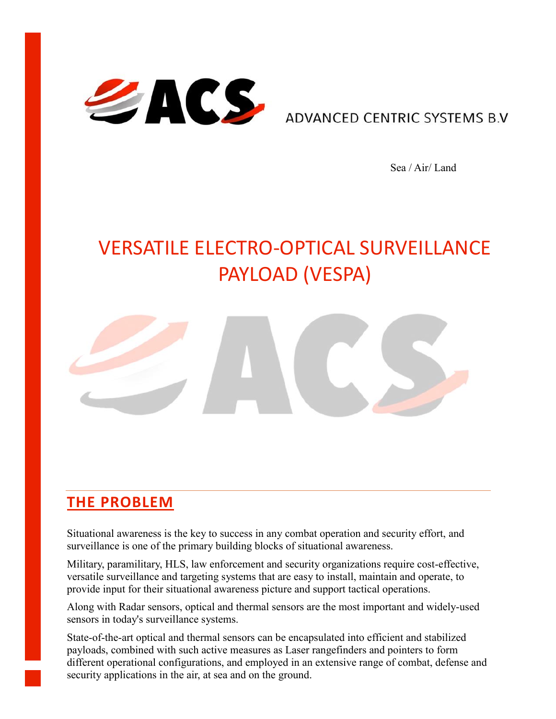

**ADVANCED CENTRIC SYSTEMS B.V** 

Sea / Air/ Land

# VERSATILE ELECTRO-OPTICAL SURVEILLANCE PAYLOAD (VESPA)



#### **THE PROBLEM**

Situational awareness is the key to success in any combat operation and security effort, and surveillance is one of the primary building blocks of situational awareness.

Military, paramilitary, HLS, law enforcement and security organizations require cost-effective, versatile surveillance and targeting systems that are easy to install, maintain and operate, to provide input for their situational awareness picture and support tactical operations.

Along with Radar sensors, optical and thermal sensors are the most important and widely-used sensors in today's surveillance systems.

State-of-the-art optical and thermal sensors can be encapsulated into efficient and stabilized payloads, combined with such active measures as Laser rangefinders and pointers to form different operational configurations, and employed in an extensive range of combat, defense and security applications in the air, at sea and on the ground.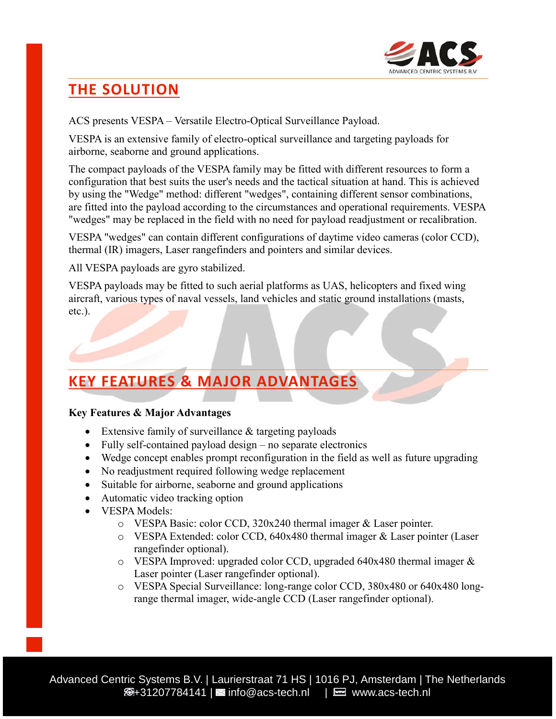

## **THE SOLUTION**

ACS presents VESPA – Versatile Electro-Optical Surveillance Payload.

VESPA is an extensive family of electro-optical surveillance and targeting payloads for airborne, seaborne and ground applications.

The compact payloads of the VESPA family may be fitted with different resources to form a configuration that best suits the user's needs and the tactical situation at hand. This is achieved by using the "Wedge" method: different "wedges", containing different sensor combinations, are fitted into the payload according to the circumstances and operational requirements. VESPA "wedges" may be replaced in the field with no need for payload readjustment or recalibration.

VESPA "wedges" can contain different configurations of daytime video cameras (color CCD), thermal (IR) imagers, Laser rangefinders and pointers and similar devices.

All VESPA payloads are gyro stabilized.

VESPA payloads may be fitted to such aerial platforms as UAS, helicopters and fixed wing aircraft, various types of naval vessels, land vehicles and static ground installations (masts, etc.).

### **KEY FEATURES & MAJOR ADVANTAGES**

#### **Key Features & Major Advantages**

- Extensive family of surveillance & targeting payloads
- Fully self-contained payload design no separate electronics
- Wedge concept enables prompt reconfiguration in the field as well as future upgrading
- No readjustment required following wedge replacement
- Suitable for airborne, seaborne and ground applications
- Automatic video tracking option
- VESPA Models:
	- o VESPA Basic: color CCD, 320x240 thermal imager & Laser pointer.
	- o VESPA Extended: color CCD, 640x480 thermal imager & Laser pointer (Laser rangefinder optional).
	- o VESPA Improved: upgraded color CCD, upgraded 640x480 thermal imager & Laser pointer (Laser rangefinder optional).
	- o VESPA Special Surveillance: long-range color CCD, 380x480 or 640x480 longrange thermal imager, wide-angle CCD (Laser rangefinder optional).